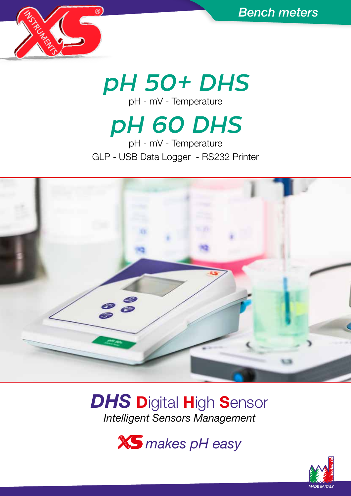

*pH 50+ DHS* pH - mV - Temperature

# *pH 60 DHS*

pH - mV - Temperature GLP - USB Data Logger - RS232 Printer



## *DHS* Digital High Sensor *Intelligent Sensors Management*

*makes pH easy*

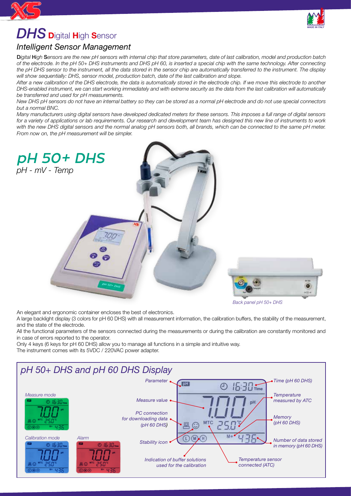

### *DHS* <sup>D</sup>igital High Sensor

#### *Intelligent Sensor Management*

D*igital* H*igh* S*ensors are the new pH sensors with internal chip that store parameters, date of last calibration, model and production batch of the electrode. In the pH 50+ DHS instruments and DHS pH 60, is inserted a special chip with the same technology. After connecting the pH DHS sensor to the instrument, all the data stored in the sensor chip are automatically transferred to the instrument. The display will show sequentially: DHS, sensor model, production batch, date of the last calibration and slope.*

*After a new calibration of the DHS electrode, the data is automatically stored in the electrode chip. If we move this electrode to another DHS-enabled instrument, we can start working immediately and with extreme security as the data from the last calibration will automatically be transferred and used for pH measurements.*

*New DHS pH sensors do not have an internal battery so they can be stored as a normal pH electrode and do not use special connectors but a normal BNC.*

*Many manufacturers using digital sensors have developed dedicated meters for these sensors. This imposes a full range of digital sensors for a variety of applications or lab requirements. Our research and development team has designed this new line of instruments to work with the new DHS digital sensors and the normal analog pH sensors both, all brands, which can be connected to the same pH meter. From now on, the pH measurement will be simpler.*



*Back panel pH 50+ DHS*

An elegant and ergonomic container encloses the best of electronics.

A large backlight display (3 colors for pH 60 DHS) with all measurement information, the calibration buffers, the stability of the measurement, and the state of the electrode.

All the functional parameters of the sensors connected during the measurements or during the calibration are constantly monitored and in case of errors reported to the operator.

Only 4 keys (6 keys for pH 60 DHS) allow you to manage all functions in a simple and intuitive way.



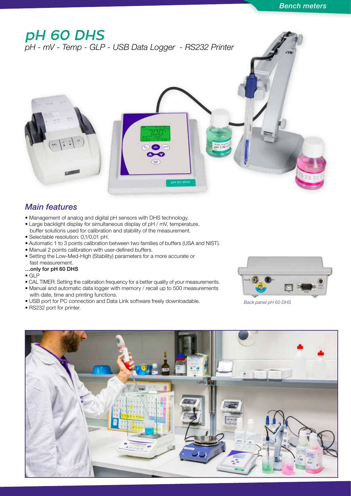### *pH 60 DHS*

*pH - mV - Temp - GLP - USB Data Logger - RS232 Printer*



- Management of analog and digital pH sensors with DHS technology.
- Large backlight display for simultaneous display of pH / mV, temperature, buffer solutions used for calibration and stability of the measurement.
- Selectable resolution: 0,1/0,01 pH.
- Automatic 1 to 3 points calibration between two families of buffers (USA and NIST).
- Manual 2 points calibration with user-defined buffers.
- Setting the Low-Med-High (Stability) parameters for a more accurate or fast measurement.

#### …only for pH 60 DHS

- GLP
- CAL TIMER: Setting the calibration frequency for a better quality of your measurements.
- Manual and automatic data logger with memory / recall up to 500 measurements with date, time and printing functions.
- USB port for PC connection and Data Link software freely downloadable.
- RS232 port for printer.



*Back panel pH 60 DHS*



pH 60 DHS